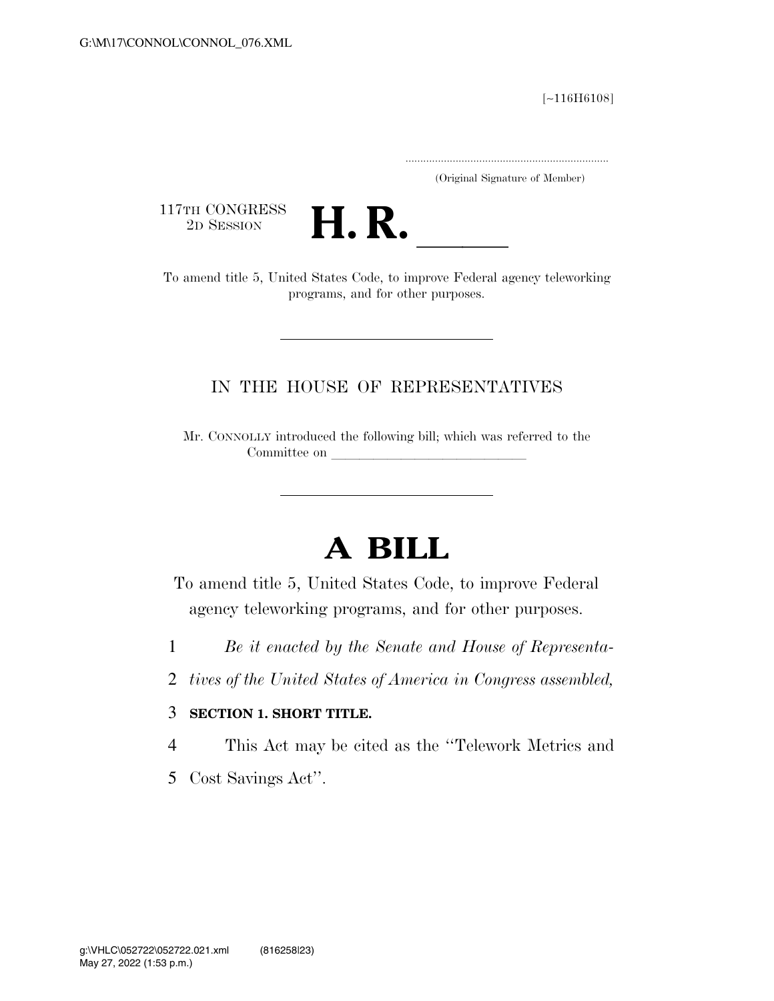[∼116H6108]

.....................................................................

(Original Signature of Member)

117TH CONGRESS<br>2D SESSION



117TH CONGRESS<br>
2D SESSION<br>
To amend title 5, United States Code, to improve Federal agency teleworking programs, and for other purposes.

### IN THE HOUSE OF REPRESENTATIVES

Mr. CONNOLLY introduced the following bill; which was referred to the Committee on

# **A BILL**

To amend title 5, United States Code, to improve Federal agency teleworking programs, and for other purposes.

- 1 *Be it enacted by the Senate and House of Representa-*
- 2 *tives of the United States of America in Congress assembled,*

#### 3 **SECTION 1. SHORT TITLE.**

- 4 This Act may be cited as the ''Telework Metrics and
- 5 Cost Savings Act''.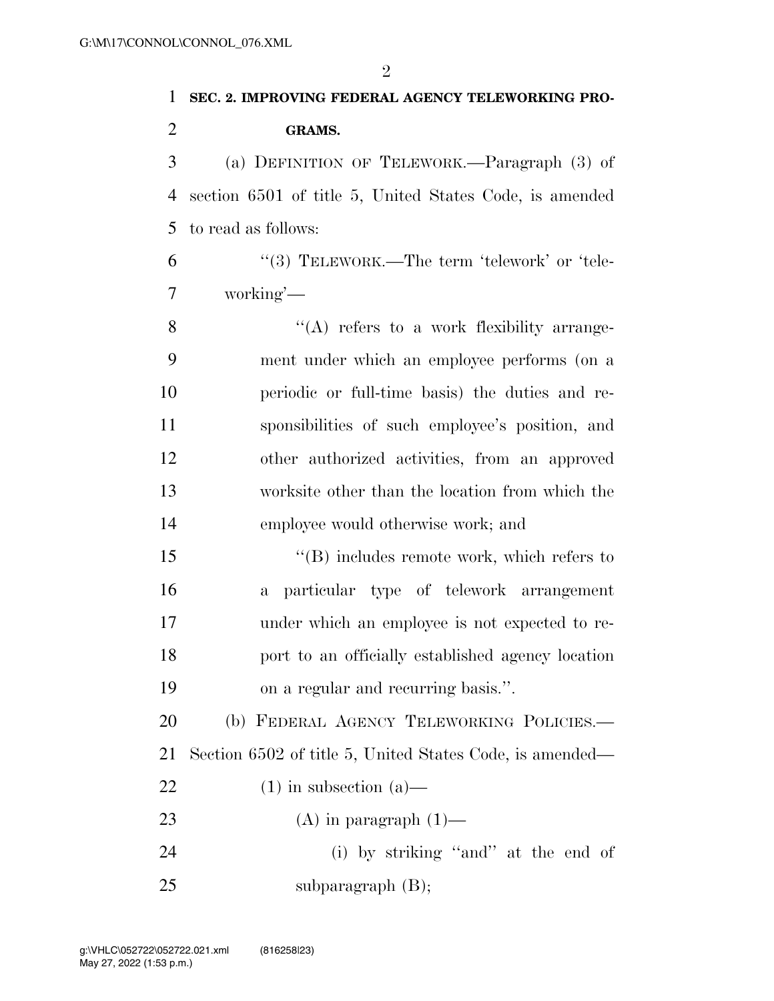## **SEC. 2. IMPROVING FEDERAL AGENCY TELEWORKING PRO-GRAMS.**

 (a) DEFINITION OF TELEWORK.—Paragraph (3) of section 6501 of title 5, United States Code, is amended to read as follows:

 ''(3) TELEWORK.—The term 'telework' or 'tele-working'—

 $\mathcal{S}$  ''(A) refers to a work flexibility arrange- ment under which an employee performs (on a periodic or full-time basis) the duties and re- sponsibilities of such employee's position, and other authorized activities, from an approved worksite other than the location from which the employee would otherwise work; and

 ''(B) includes remote work, which refers to a particular type of telework arrangement under which an employee is not expected to re- port to an officially established agency location on a regular and recurring basis.''.

20 (b) FEDERAL AGENCY TELEWORKING POLICIES. Section 6502 of title 5, United States Code, is amended—

- 22 (1) in subsection  $(a)$ —
- 23 (A) in paragraph  $(1)$ —

 (i) by striking ''and'' at the end of 25 subparagraph (B);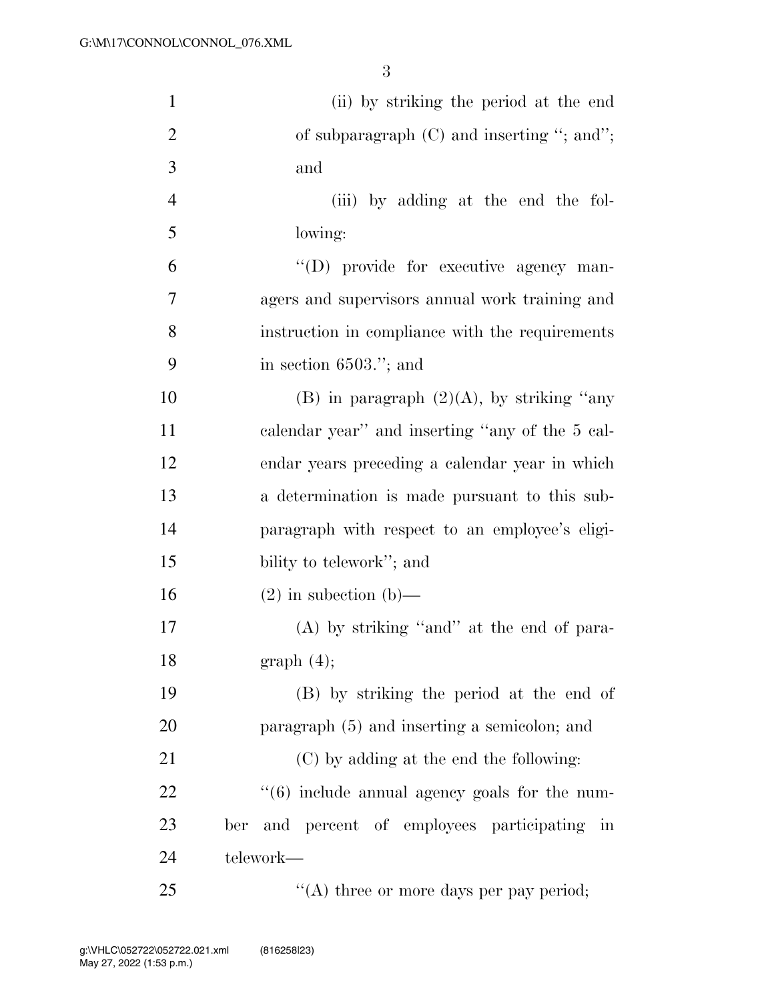| $\mathbf{1}$   | (ii) by striking the period at the end                                  |
|----------------|-------------------------------------------------------------------------|
| $\overline{2}$ | of subparagraph $(C)$ and inserting "; and";                            |
| 3              | and                                                                     |
| $\overline{4}$ | (iii) by adding at the end the fol-                                     |
| 5              | lowing:                                                                 |
| 6              | "(D) provide for executive agency man-                                  |
| $\tau$         | agers and supervisors annual work training and                          |
| 8              | instruction in compliance with the requirements                         |
| 9              | in section $6503$ ."; and                                               |
| 10             | (B) in paragraph $(2)(A)$ , by striking "any                            |
| 11             | calendar year" and inserting "any of the 5 cal-                         |
| 12             | endar years preceding a calendar year in which                          |
| 13             | a determination is made pursuant to this sub-                           |
| 14             | paragraph with respect to an employee's eligi-                          |
| 15             | bility to telework"; and                                                |
| 16             | $(2)$ in subsection (b)—                                                |
| 17             | $(A)$ by striking "and" at the end of para-                             |
| 18             | graph(4);                                                               |
| 19             | (B) by striking the period at the end of                                |
| 20             | paragraph (5) and inserting a semicolon; and                            |
| 21             | (C) by adding at the end the following:                                 |
| 22             | $\cdot\cdot\cdot(6)$ include annual agency goals for the num-           |
| 23             | and percent of employees participating<br>ber<br>$\overline{\text{in}}$ |
| 24             | telework—                                                               |
| 25             | "(A) three or more days per pay period;                                 |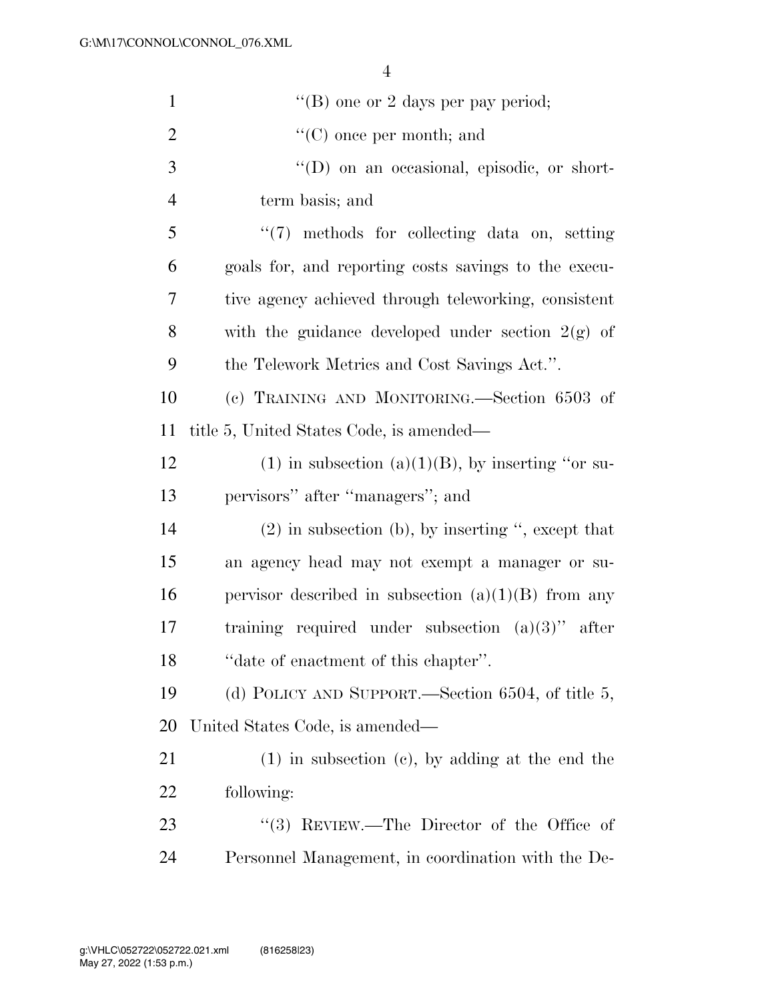| $\mathbf{1}$   | "(B) one or 2 days per pay period;                     |
|----------------|--------------------------------------------------------|
| $\overline{2}$ | $\lq\lq$ (C) once per month; and                       |
| 3              | "(D) on an occasional, episodic, or short-             |
| $\overline{4}$ | term basis; and                                        |
| 5              | $\lq(7)$ methods for collecting data on, setting       |
| 6              | goals for, and reporting costs savings to the execu-   |
| $\overline{7}$ | tive agency achieved through teleworking, consistent   |
| 8              | with the guidance developed under section $2(g)$ of    |
| 9              | the Telework Metrics and Cost Savings Act.".           |
| 10             | (c) TRAINING AND MONITORING.—Section 6503 of           |
| 11             | title 5, United States Code, is amended—               |
| 12             | $(1)$ in subsection $(a)(1)(B)$ , by inserting "or su- |
| 13             | pervisors" after "managers"; and                       |
| 14             | $(2)$ in subsection (b), by inserting ", except that   |
| 15             | an agency head may not exempt a manager or su-         |
| 16             | pervisor described in subsection $(a)(1)(B)$ from any  |
| 17             | training required under subsection $(a)(3)$ " after    |
| 18             | "date of enactment of this chapter".                   |
| 19             | (d) POLICY AND SUPPORT.—Section 6504, of title 5,      |
| 20             | United States Code, is amended—                        |
| 21             | $(1)$ in subsection $(e)$ , by adding at the end the   |
| 22             | following:                                             |
| 23             | "(3) REVIEW.—The Director of the Office of             |
| 24             | Personnel Management, in coordination with the De-     |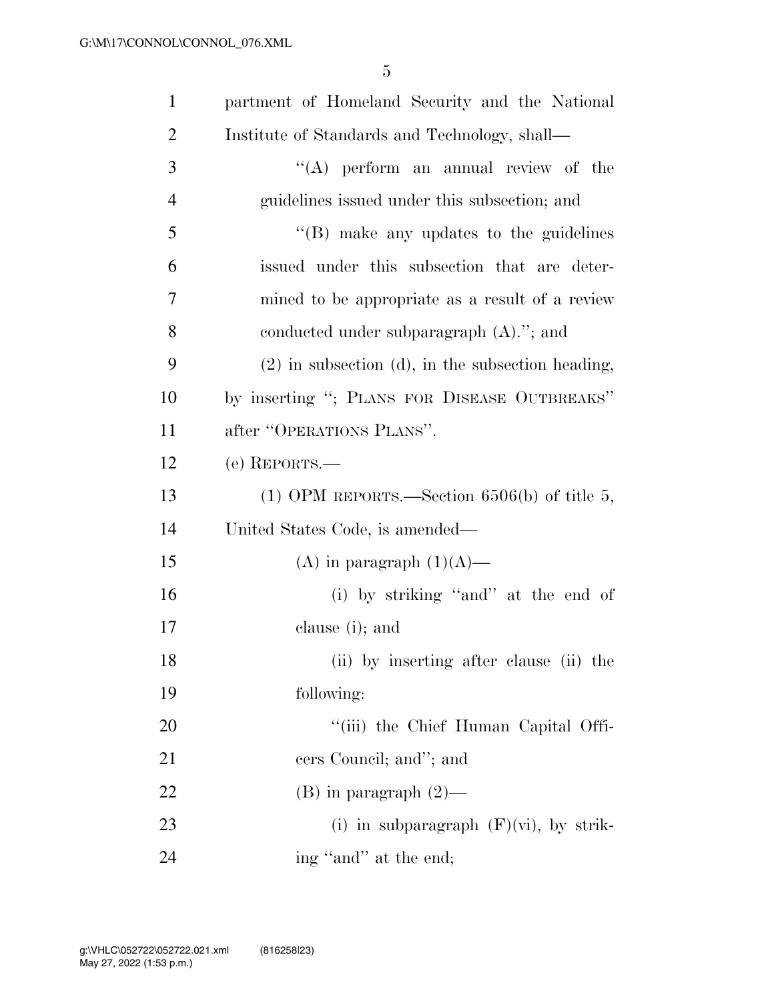| $\mathbf{1}$   | partment of Homeland Security and the National      |
|----------------|-----------------------------------------------------|
| $\overline{2}$ | Institute of Standards and Technology, shall—       |
| 3              | "(A) perform an annual review of the                |
| $\overline{4}$ | guidelines issued under this subsection; and        |
| 5              | $\lq\lq$ (B) make any updates to the guidelines     |
| 6              | issued under this subsection that are deter-        |
| 7              | mined to be appropriate as a result of a review     |
| 8              | conducted under subparagraph $(A)$ ."; and          |
| 9              | $(2)$ in subsection (d), in the subsection heading, |
| 10             | by inserting "; PLANS FOR DISEASE OUTBREAKS"        |
| 11             | after "OPERATIONS PLANS".                           |
| 12             | $(e)$ REPORTS.—                                     |
| 13             | (1) OPM REPORTS.—Section $6506(b)$ of title 5,      |
| 14             | United States Code, is amended—                     |
| 15             | (A) in paragraph $(1)(A)$ —                         |
| 16             | (i) by striking "and" at the end of                 |
| 17             | clause (i); and                                     |
| 18             | (ii) by inserting after clause (ii) the             |
| 19             | following:                                          |
| 20             | "(iii) the Chief Human Capital Offi-                |
| 21             | cers Council; and"; and                             |
| 22             | $(B)$ in paragraph $(2)$ —                          |
| 23             | (i) in subparagraph $(F)(vi)$ , by strik-           |
| 24             | ing "and" at the end;                               |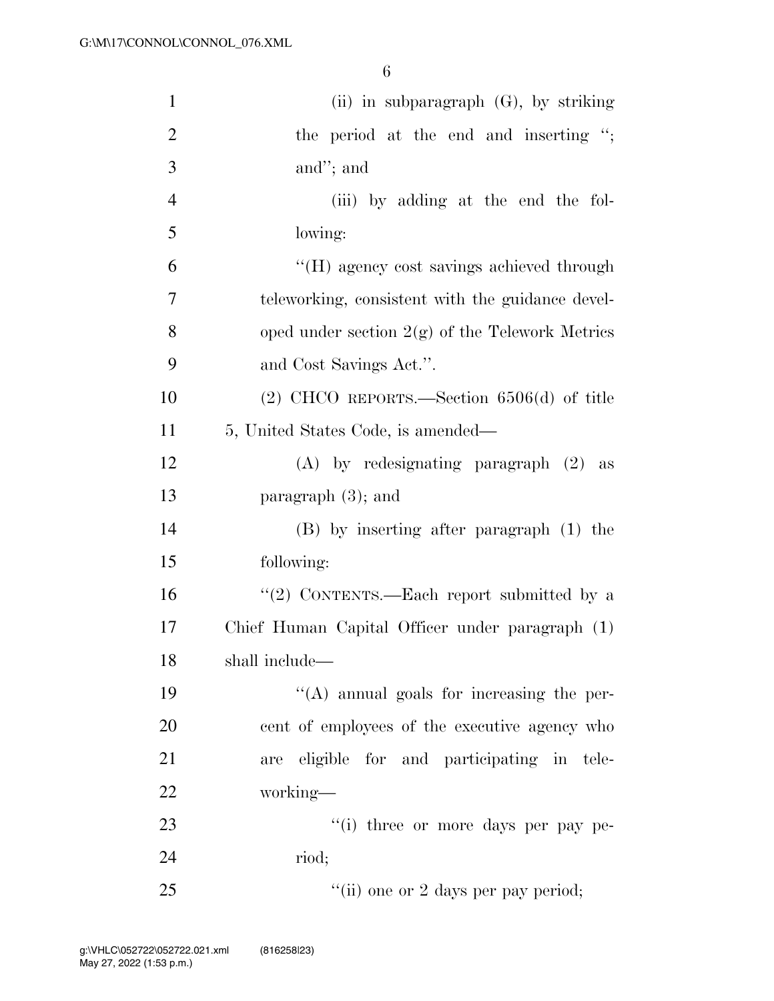| $\mathbf{1}$   | (ii) in subparagraph $(G)$ , by striking          |
|----------------|---------------------------------------------------|
| $\overline{2}$ | the period at the end and inserting ";            |
| 3              | and"; and                                         |
| $\overline{4}$ | (iii) by adding at the end the fol-               |
| 5              | lowing:                                           |
| 6              | "(H) agency cost savings achieved through         |
| $\overline{7}$ | teleworking, consistent with the guidance devel-  |
| 8              | oped under section $2(g)$ of the Telework Metrics |
| 9              | and Cost Savings Act.".                           |
| 10             | $(2)$ CHCO REPORTS.—Section 6506(d) of title      |
| 11             | 5, United States Code, is amended—                |
| 12             | $(A)$ by redesignating paragraph $(2)$ as         |
| 13             | paragraph $(3)$ ; and                             |
| 14             | (B) by inserting after paragraph (1) the          |
| 15             | following:                                        |
| 16             | "(2) CONTENTS.—Each report submitted by a         |
| 17             | Chief Human Capital Officer under paragraph (1)   |
| 18             | shall include-                                    |
| 19             | $\lq\lq$ annual goals for increasing the per-     |
| 20             | cent of employees of the executive agency who     |
| 21             | are eligible for and participating in tele-       |
| 22             | working-                                          |
| 23             | "(i) three or more days per pay pe-               |
| 24             | riod;                                             |
| 25             | "(ii) one or 2 days per pay period;               |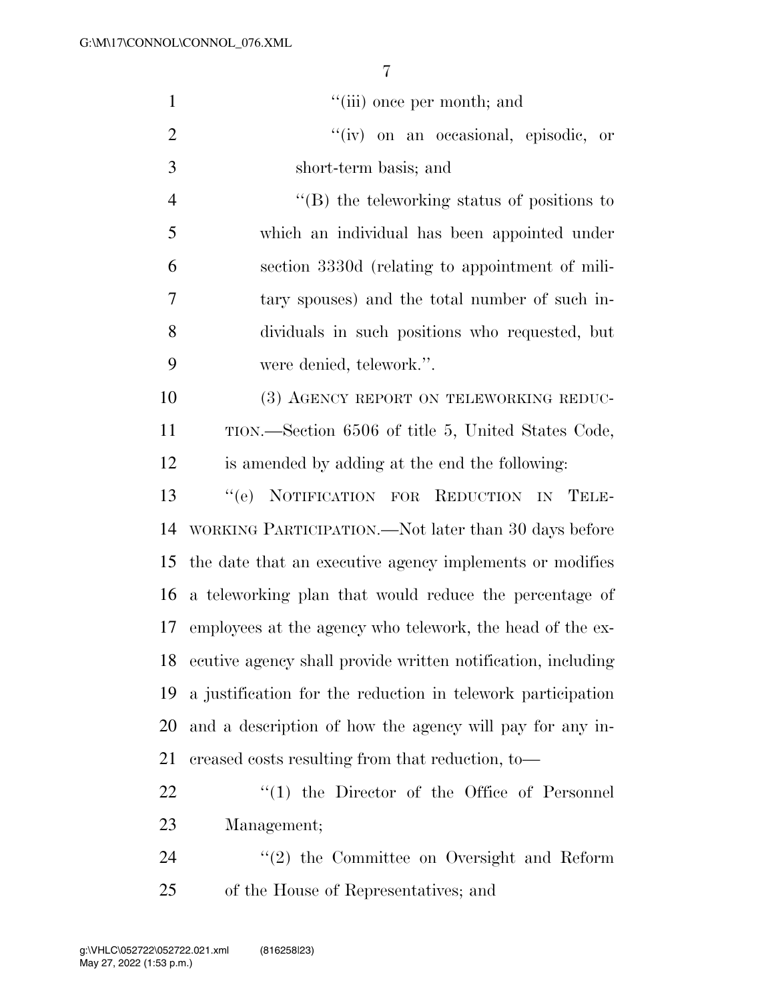| $\mathbf{1}$   | "(iii) once per month; and                                   |
|----------------|--------------------------------------------------------------|
| $\overline{2}$ | "(iv) on an occasional, episodic, or                         |
| 3              | short-term basis; and                                        |
| $\overline{4}$ | $\lq\lq$ the teleworking status of positions to              |
| 5              | which an individual has been appointed under                 |
| 6              | section 3330d (relating to appointment of mili-              |
| 7              | tary spouses) and the total number of such in-               |
| 8              | dividuals in such positions who requested, but               |
| 9              | were denied, telework.".                                     |
| 10             | (3) AGENCY REPORT ON TELEWORKING REDUC-                      |
| 11             | TION.—Section 6506 of title 5, United States Code,           |
| 12             | is amended by adding at the end the following:               |
| 13             | "(e) NOTIFICATION FOR REDUCTION IN TELE-                     |
| 14             | WORKING PARTICIPATION.—Not later than 30 days before         |
| 15             | the date that an executive agency implements or modifies     |
| 16             | a teleworking plan that would reduce the percentage of       |
| 17             | employees at the agency who telework, the head of the ex-    |
| 18             | ecutive agency shall provide written notification, including |
| 19             | a justification for the reduction in telework participation  |
| 20             | and a description of how the agency will pay for any in-     |
| 21             | creased costs resulting from that reduction, to-             |
| 22             | $(1)$ the Director of the Office of Personnel                |
| 23             | Management;                                                  |
| 24             | $\lq(2)$ the Committee on Oversight and Reform               |

of the House of Representatives; and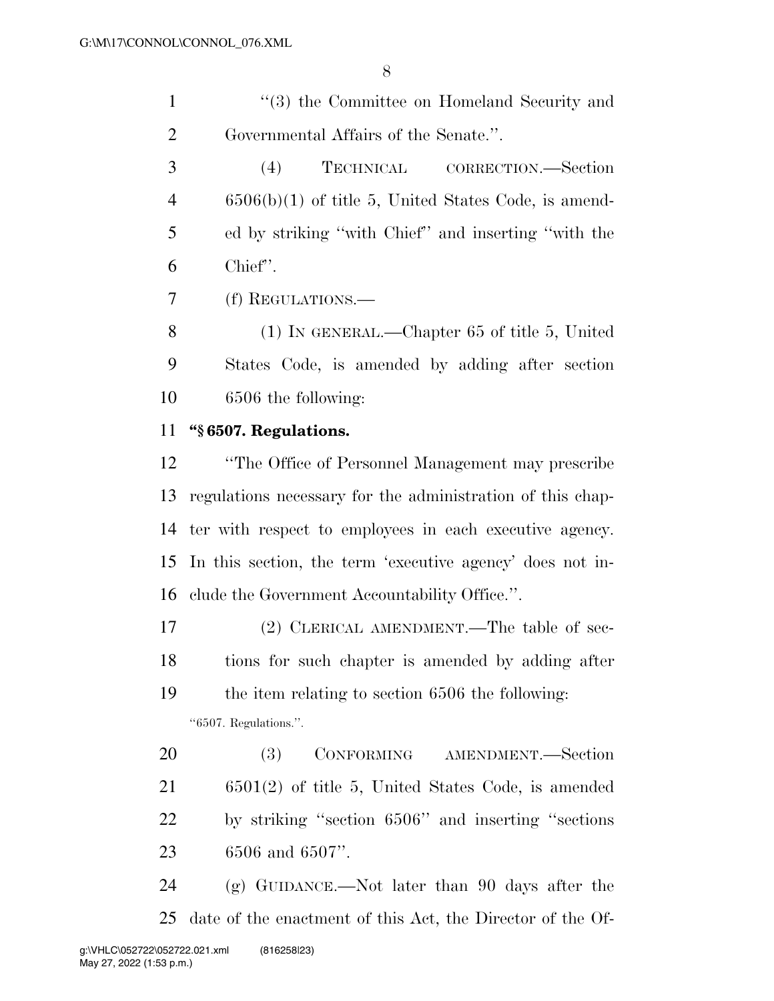1 ''(3) the Committee on Homeland Security and Governmental Affairs of the Senate.''.

 (4) TECHNICAL CORRECTION.—Section 6506(b)(1) of title 5, United States Code, is amend- ed by striking ''with Chief'' and inserting ''with the Chief''.

(f) REGULATIONS.—

 (1) IN GENERAL.—Chapter 65 of title 5, United States Code, is amended by adding after section 6506 the following:

#### **''§ 6507. Regulations.**

 ''The Office of Personnel Management may prescribe regulations necessary for the administration of this chap- ter with respect to employees in each executive agency. In this section, the term 'executive agency' does not in-clude the Government Accountability Office.''.

 (2) CLERICAL AMENDMENT.—The table of sec- tions for such chapter is amended by adding after the item relating to section 6506 the following: ''6507. Regulations.''.

 (3) CONFORMING AMENDMENT.—Section 6501(2) of title 5, United States Code, is amended by striking ''section 6506'' and inserting ''sections 6506 and 6507''.

 (g) GUIDANCE.—Not later than 90 days after the date of the enactment of this Act, the Director of the Of-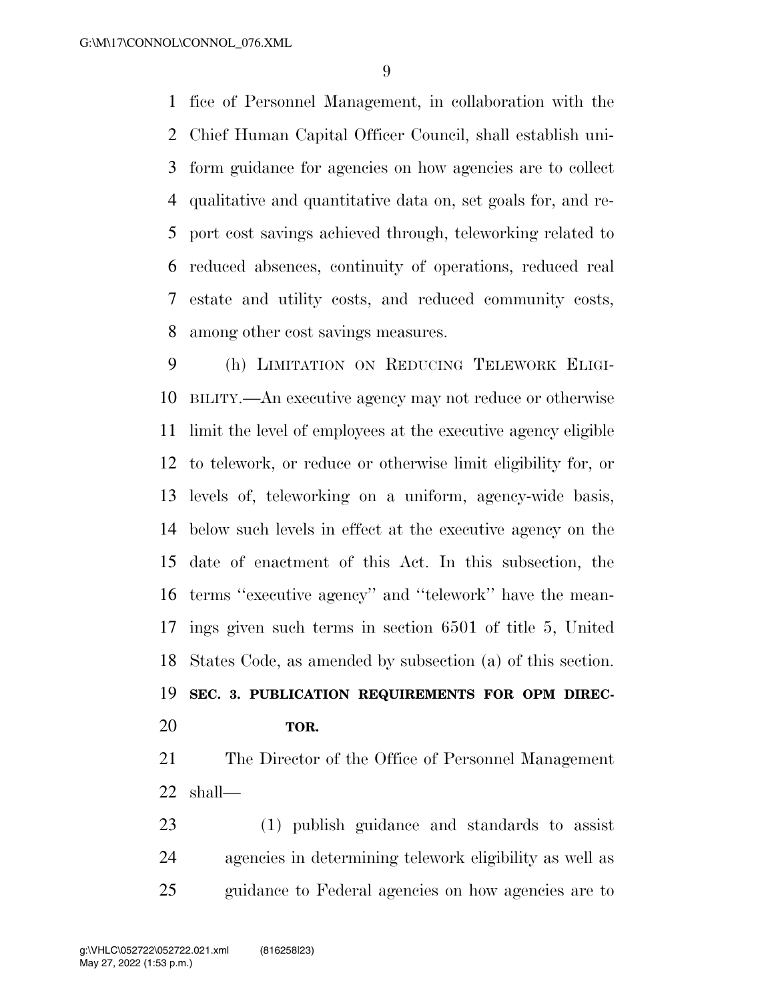fice of Personnel Management, in collaboration with the Chief Human Capital Officer Council, shall establish uni- form guidance for agencies on how agencies are to collect qualitative and quantitative data on, set goals for, and re- port cost savings achieved through, teleworking related to reduced absences, continuity of operations, reduced real estate and utility costs, and reduced community costs, among other cost savings measures.

 (h) LIMITATION ON REDUCING TELEWORK ELIGI- BILITY.—An executive agency may not reduce or otherwise limit the level of employees at the executive agency eligible to telework, or reduce or otherwise limit eligibility for, or levels of, teleworking on a uniform, agency-wide basis, below such levels in effect at the executive agency on the date of enactment of this Act. In this subsection, the terms ''executive agency'' and ''telework'' have the mean- ings given such terms in section 6501 of title 5, United States Code, as amended by subsection (a) of this section. **SEC. 3. PUBLICATION REQUIREMENTS FOR OPM DIREC-**

#### **TOR.**

 The Director of the Office of Personnel Management shall—

 (1) publish guidance and standards to assist agencies in determining telework eligibility as well as guidance to Federal agencies on how agencies are to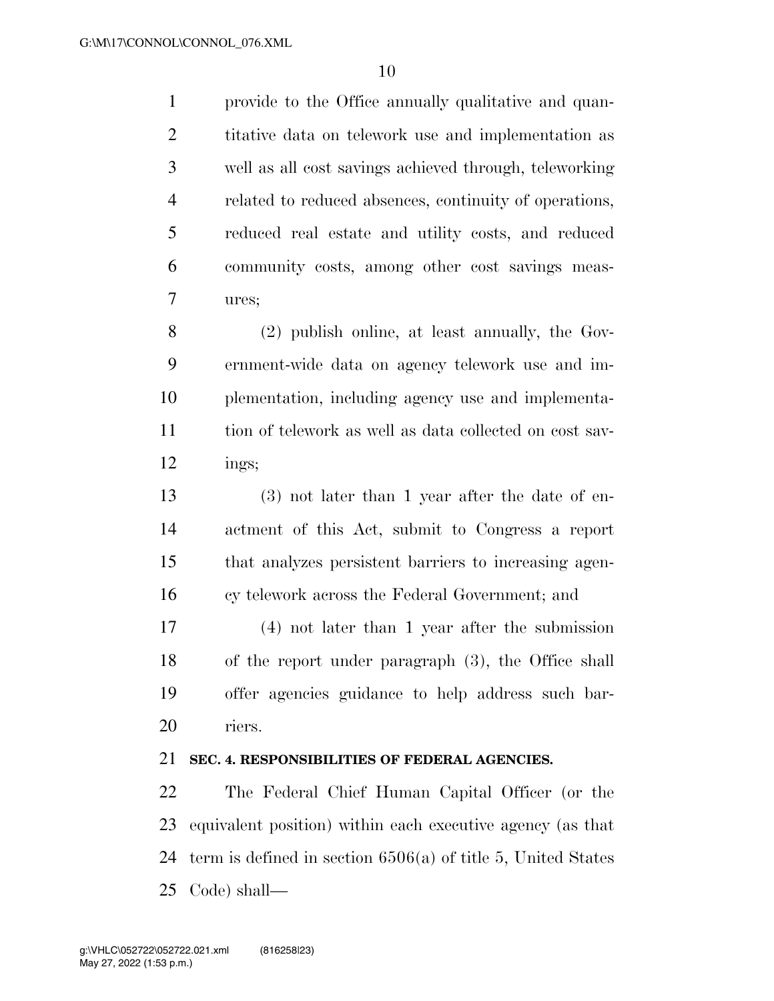provide to the Office annually qualitative and quan- titative data on telework use and implementation as well as all cost savings achieved through, teleworking related to reduced absences, continuity of operations, reduced real estate and utility costs, and reduced community costs, among other cost savings meas-ures;

 (2) publish online, at least annually, the Gov- ernment-wide data on agency telework use and im- plementation, including agency use and implementa- tion of telework as well as data collected on cost sav-ings;

 (3) not later than 1 year after the date of en- actment of this Act, submit to Congress a report that analyzes persistent barriers to increasing agen-cy telework across the Federal Government; and

 (4) not later than 1 year after the submission of the report under paragraph (3), the Office shall offer agencies guidance to help address such bar-riers.

#### **SEC. 4. RESPONSIBILITIES OF FEDERAL AGENCIES.**

 The Federal Chief Human Capital Officer (or the equivalent position) within each executive agency (as that term is defined in section 6506(a) of title 5, United States Code) shall—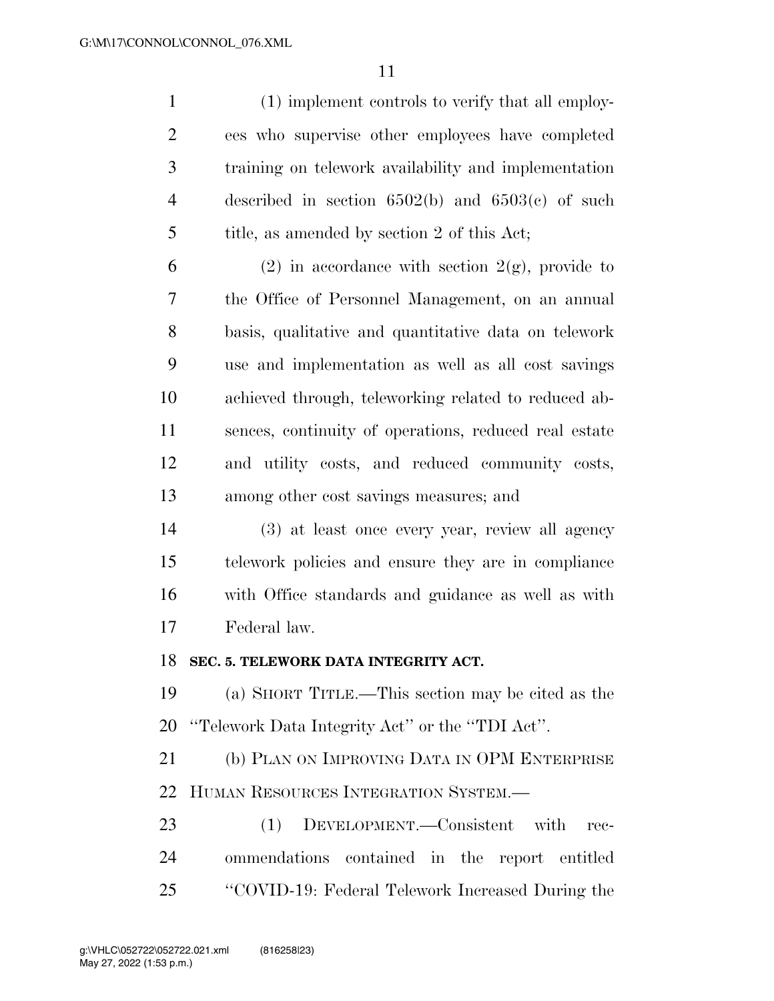(1) implement controls to verify that all employ- ees who supervise other employees have completed training on telework availability and implementation described in section 6502(b) and 6503(c) of such 5 title, as amended by section 2 of this Act;

6 (2) in accordance with section  $2(g)$ , provide to the Office of Personnel Management, on an annual basis, qualitative and quantitative data on telework use and implementation as well as all cost savings achieved through, teleworking related to reduced ab- sences, continuity of operations, reduced real estate and utility costs, and reduced community costs, among other cost savings measures; and

 (3) at least once every year, review all agency telework policies and ensure they are in compliance with Office standards and guidance as well as with Federal law.

#### **SEC. 5. TELEWORK DATA INTEGRITY ACT.**

 (a) SHORT TITLE.—This section may be cited as the ''Telework Data Integrity Act'' or the ''TDI Act''.

 (b) PLAN ON IMPROVING DATA IN OPM ENTERPRISE HUMAN RESOURCES INTEGRATION SYSTEM.—

 (1) DEVELOPMENT.—Consistent with rec- ommendations contained in the report entitled ''COVID-19: Federal Telework Increased During the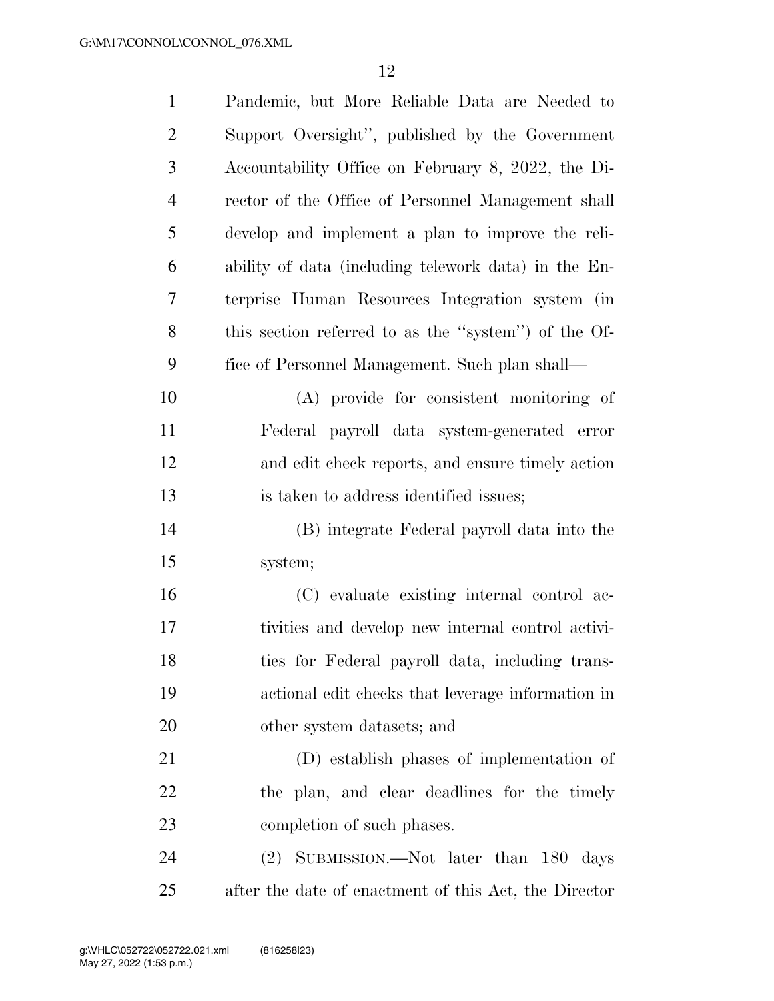| $\mathbf{1}$   | Pandemic, but More Reliable Data are Needed to        |
|----------------|-------------------------------------------------------|
| $\overline{2}$ | Support Oversight", published by the Government       |
| 3              | Accountability Office on February 8, 2022, the Di-    |
| $\overline{4}$ | rector of the Office of Personnel Management shall    |
| 5              | develop and implement a plan to improve the reli-     |
| 6              | ability of data (including telework data) in the En-  |
| $\overline{7}$ | terprise Human Resources Integration system (in       |
| 8              | this section referred to as the "system") of the Of-  |
| 9              | fice of Personnel Management. Such plan shall-        |
| 10             | (A) provide for consistent monitoring of              |
| 11             | Federal payroll data system-generated error           |
| 12             | and edit check reports, and ensure timely action      |
| 13             | is taken to address identified issues;                |
| 14             | (B) integrate Federal payroll data into the           |
| 15             | system;                                               |
| 16             | (C) evaluate existing internal control ac-            |
| 17             | tivities and develop new internal control activi-     |
| 18             | ties for Federal payroll data, including trans-       |
| 19             | actional edit checks that leverage information in     |
| 20             | other system datasets; and                            |
| 21             | (D) establish phases of implementation of             |
| 22             | the plan, and clear deadlines for the timely          |
| 23             | completion of such phases.                            |
| 24             | (2) SUBMISSION.—Not later than 180 days               |
| 25             | after the date of enactment of this Act, the Director |